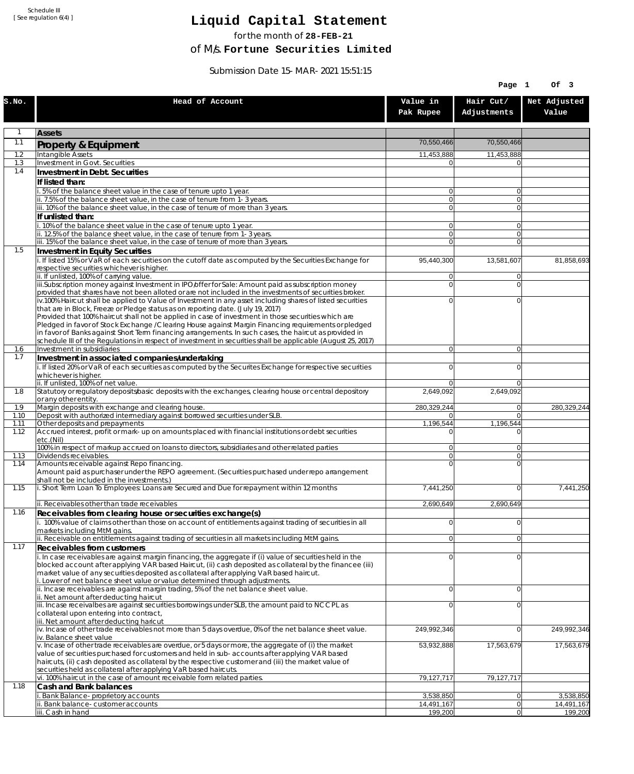Schedule III [ See regulation 6(4) ]

## **Liquid Capital Statement**

for the month of **28-FEB-21**

of M/s. **Fortune Securities Limited**

Submission Date 15-MAR-2021 15:51:15

|              |                                                                                                                                                                                                                                                                                                                                                                                                    |                                  | Page 1                     | Of 3                  |
|--------------|----------------------------------------------------------------------------------------------------------------------------------------------------------------------------------------------------------------------------------------------------------------------------------------------------------------------------------------------------------------------------------------------------|----------------------------------|----------------------------|-----------------------|
| S.NO.        | Head of Account                                                                                                                                                                                                                                                                                                                                                                                    | Value in<br>Pak Rupee            | Hair Cut/<br>Adjustments   | Net Adjusted<br>Value |
| $\mathbf{1}$ | <b>Assets</b>                                                                                                                                                                                                                                                                                                                                                                                      |                                  |                            |                       |
| 1.1          | <b>Property &amp; Equipment</b>                                                                                                                                                                                                                                                                                                                                                                    | 70,550,466                       | 70,550,466                 |                       |
| 1.2          | Intangible Assets                                                                                                                                                                                                                                                                                                                                                                                  | 11,453,888                       | 11,453,888                 |                       |
| 1.3<br>1.4   | Investment in Govt. Securities<br>Investment in Debt. Securities                                                                                                                                                                                                                                                                                                                                   | $\overline{0}$                   | $\Omega$                   |                       |
|              | If listed than:                                                                                                                                                                                                                                                                                                                                                                                    |                                  |                            |                       |
|              | i. 5% of the balance sheet value in the case of tenure upto 1 year.                                                                                                                                                                                                                                                                                                                                | 0                                | $\overline{0}$             |                       |
|              | ii. 7.5% of the balance sheet value, in the case of tenure from 1-3 years.<br>iii. 10% of the balance sheet value, in the case of tenure of more than 3 years.                                                                                                                                                                                                                                     | $\overline{0}$<br>$\overline{0}$ | $\overline{0}$<br>$\Omega$ |                       |
|              | If unlisted than:                                                                                                                                                                                                                                                                                                                                                                                  |                                  |                            |                       |
|              | i. 10% of the balance sheet value in the case of tenure upto 1 year.                                                                                                                                                                                                                                                                                                                               | $\overline{0}$                   | $\overline{0}$             |                       |
|              | ii. 12.5% of the balance sheet value, in the case of tenure from 1-3 years.<br>iii. 15% of the balance sheet value, in the case of tenure of more than 3 years.                                                                                                                                                                                                                                    | $\overline{0}$<br>$\overline{0}$ | $\overline{0}$<br>$\Omega$ |                       |
| 1.5          | Investment in Equity Securities                                                                                                                                                                                                                                                                                                                                                                    |                                  |                            |                       |
|              | i. If listed 15% or VaR of each securities on the cutoff date as computed by the Securities Exchange for<br>respective securities whichever is higher.                                                                                                                                                                                                                                             | 95,440,300                       | 13,581,607                 | 81,858,693            |
|              | ii. If unlisted, 100% of carrying value.<br>iii.Subscription money against Investment in IPO/offer for Sale: Amount paid as subscription money                                                                                                                                                                                                                                                     | 0<br>0                           | $\Omega$<br>$\Omega$       |                       |
|              | provided that shares have not been alloted or are not included in the investments of securities broker.                                                                                                                                                                                                                                                                                            |                                  |                            |                       |
|              | iv.100% Haircut shall be applied to Value of Investment in any asset including shares of listed securities                                                                                                                                                                                                                                                                                         | 0                                | $\Omega$                   |                       |
|              | that are in Block, Freeze or Pledge status as on reporting date. (July 19, 2017)<br>Provided that 100% haircut shall not be applied in case of investment in those securities which are                                                                                                                                                                                                            |                                  |                            |                       |
|              | Pledged in favor of Stock Exchange / Clearing House against Margin Financing requirements or pledged                                                                                                                                                                                                                                                                                               |                                  |                            |                       |
|              | in favor of Banks against Short Term financing arrangements. In such cases, the haircut as provided in<br>schedule III of the Regulations in respect of investment in securities shall be applicable (August 25, 2017)                                                                                                                                                                             |                                  |                            |                       |
| 1.6          | Investment in subsidiaries                                                                                                                                                                                                                                                                                                                                                                         | $\overline{0}$                   | $\overline{0}$             |                       |
| 1.7          | Investment in associated companies/undertaking                                                                                                                                                                                                                                                                                                                                                     |                                  |                            |                       |
|              | i. If listed 20% or VaR of each securities as computed by the Securites Exchange for respective securities<br>whichever is higher.                                                                                                                                                                                                                                                                 | $\Omega$                         | $\Omega$                   |                       |
|              | ii. If unlisted, 100% of net value.                                                                                                                                                                                                                                                                                                                                                                | $\overline{0}$                   | $\Omega$                   |                       |
| 1.8          | Statutory or regulatory deposits/basic deposits with the exchanges, clearing house or central depository<br>or any other entity.                                                                                                                                                                                                                                                                   | 2,649,092                        | 2,649,092                  |                       |
| 1.9          | Margin deposits with exchange and clearing house.                                                                                                                                                                                                                                                                                                                                                  | 280,329,244                      | 0                          | 280,329,244           |
| 1.10<br>1.11 | Deposit with authorized intermediary against borrowed securities under SLB.<br>Other deposits and prepayments                                                                                                                                                                                                                                                                                      | $\Omega$<br>1,196,544            | $\Omega$<br>1,196,544      |                       |
| 1.12         | Accrued interest, profit or mark-up on amounts placed with financial institutions or debt securities<br>etc.(Nil)                                                                                                                                                                                                                                                                                  | U                                |                            |                       |
|              | 100% in respect of markup accrued on loans to directors, subsidiaries and other related parties                                                                                                                                                                                                                                                                                                    | 0                                | $\Omega$                   |                       |
| 1.13<br>1.14 | Dividends receivables.<br>Amounts receivable against Repo financing.                                                                                                                                                                                                                                                                                                                               | $\overline{0}$<br>$\Omega$       | $\overline{0}$<br>$\Omega$ |                       |
|              | Amount paid as purchaser under the REPO agreement. (Securities purchased under repo arrangement<br>shall not be included in the investments.)                                                                                                                                                                                                                                                      |                                  |                            |                       |
| 1.15         | i. Short Term Loan To Employees: Loans are Secured and Due for repayment within 12 months                                                                                                                                                                                                                                                                                                          | 7,441,250                        | $\overline{0}$             | 7,441,250             |
| 1.16         | ii. Receivables other than trade receivables                                                                                                                                                                                                                                                                                                                                                       | 2,690,649                        | 2.690.649                  |                       |
|              | Receivables from clearing house or securities exchange(s)<br>i. 100% value of claims other than those on account of entitlements against trading of securities in all<br>markets including MtM gains.                                                                                                                                                                                              | $\mathbf 0$                      | $\overline{0}$             |                       |
|              | ii. Receivable on entitlements against trading of securities in all markets including MtM gains.                                                                                                                                                                                                                                                                                                   | 0                                | 0                          |                       |
| 1.17         | Receivables from customers                                                                                                                                                                                                                                                                                                                                                                         |                                  |                            |                       |
|              | i. In case receivables are against margin financing, the aggregate if (i) value of securities held in the<br>blocked account after applying VAR based Haircut, (ii) cash deposited as collateral by the financee (iii)<br>market value of any securities deposited as collateral after applying VaR based haircut.<br>i. Lower of net balance sheet value or value determined through adjustments. | $\mathbf 0$                      | $\Omega$                   |                       |
|              | ii. Incase receivables are against margin trading, 5% of the net balance sheet value.<br>ii. Net amount after deducting haircut                                                                                                                                                                                                                                                                    | $\mathbf 0$                      | $\Omega$                   |                       |
|              | iii. Incase receivalbes are against securities borrowings under SLB, the amount paid to NCCPL as<br>collateral upon entering into contract,<br>iii. Net amount after deducting haricut                                                                                                                                                                                                             | 0                                | $\Omega$                   |                       |
|              | $iv.$ Incase of other trade receivables not more than 5 days overdue, 0% of the net balance sheet value.<br>iv. Balance sheet value                                                                                                                                                                                                                                                                | 249,992,346                      | $\overline{0}$             | 249,992,346           |
|              | v. Incase of other trade receivables are overdue, or 5 days or more, the aggregate of (i) the market<br>value of securities purchased for customers and held in sub-accounts after applying VAR based<br>haircuts, (ii) cash deposited as collateral by the respective customer and (iii) the market value of<br>securities held as collateral after applying VaR based haircuts.                  | 53,932,888                       | 17,563,679                 | 17,563,679            |
| 1.18         | vi. 100% haircut in the case of amount receivable form related parties.<br>Cash and Bank balances                                                                                                                                                                                                                                                                                                  | 79,127,717                       | 79,127,717                 |                       |
|              | i. Bank Balance-proprietory accounts                                                                                                                                                                                                                                                                                                                                                               | 3,538,850                        | 0                          | 3,538,850             |
|              | ii. Bank balance-customer accounts                                                                                                                                                                                                                                                                                                                                                                 | 14,491,167                       | 0 <br> 0                   | 14,491,167            |
|              | iii. Cash in hand                                                                                                                                                                                                                                                                                                                                                                                  | 199,200                          |                            | 199,200               |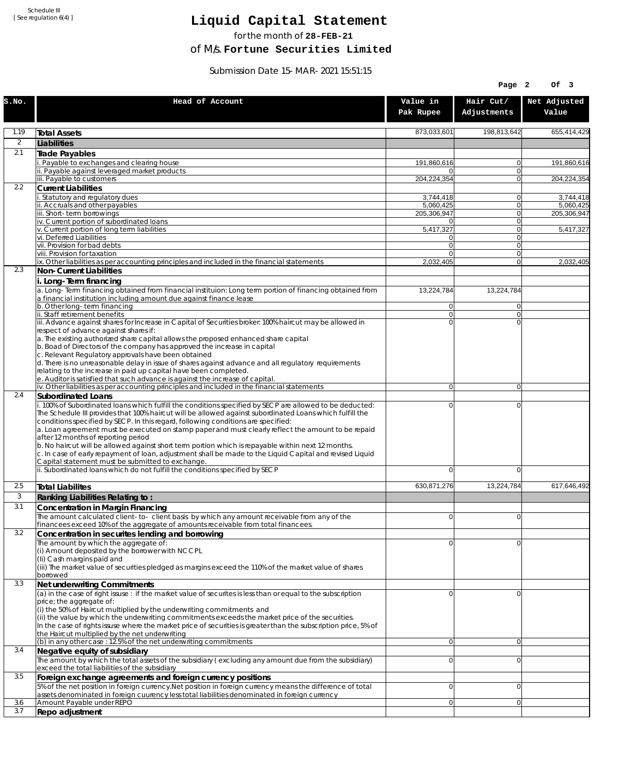Schedule III [ See regulation 6(4) ]

## **Liquid Capital Statement**

for the month of **28-FEB-21**

of M/s. **Fortune Securities Limited**

Submission Date 15-MAR-2021 15:51:15

|                |                                                                                                                                                                                         |                            | Page 2                   | OF <sub>3</sub>          |
|----------------|-----------------------------------------------------------------------------------------------------------------------------------------------------------------------------------------|----------------------------|--------------------------|--------------------------|
| S.NO.          | Head of Account                                                                                                                                                                         | Value in<br>Pak Rupee      | Hair Cut/<br>Adjustments | Net Adjusted<br>Value    |
| 1.19           | <b>Total Assets</b>                                                                                                                                                                     | 873.033.601                | 198,813,642              | 655,414,429              |
| $\overline{2}$ | Liabilities                                                                                                                                                                             |                            |                          |                          |
| 2.1            | Trade Payables                                                                                                                                                                          |                            |                          |                          |
|                | Payable to exchanges and clearing house                                                                                                                                                 | 191,860,616<br>0           | 0<br>$\mathbf{0}$        | 191,860,616              |
|                | ii. Payable against leveraged market products<br>iii. Payable to customers                                                                                                              | 204,224,354                | 0                        | 204,224,354              |
| 2.2            | <b>Current Liabilities</b>                                                                                                                                                              |                            |                          |                          |
|                | . Statutory and regulatory dues                                                                                                                                                         | 3,744,418                  | 0                        | 3,744,418                |
|                | ii. Accruals and other payables<br>iii. Short-term borrowings                                                                                                                           | 5,060,425<br>205,306,947   | $\mathbf{0}$<br>0        | 5,060,425<br>205,306,947 |
|                | iv. Current portion of subordinated loans                                                                                                                                               | 0                          | 0                        |                          |
|                | v. Current portion of long term liabilities                                                                                                                                             | 5,417,327                  | $\mathbf{0}$             | 5,417,327                |
|                | vi. Deferred Liabilities<br>vii. Provision for bad debts                                                                                                                                | 0<br>$\overline{0}$        | 0<br>$\mathbf{0}$        |                          |
|                | viii. Provision for taxation                                                                                                                                                            | $\Omega$                   | 0                        |                          |
|                | ix. Other liabilities as per accounting principles and included in the financial statements                                                                                             | 2,032,405                  | $\overline{0}$           | 2,032,405                |
| 2.3            | Non-Current Liabilities                                                                                                                                                                 |                            |                          |                          |
|                | i. Long-Term financing<br>a. Long-Term financing obtained from financial instituion: Long term portion of financing obtained from                                                       |                            |                          |                          |
|                | a financial institution including amount due against finance lease                                                                                                                      | 13,224,784                 | 13,224,784               |                          |
|                | b. Other long-term financing                                                                                                                                                            | $\overline{0}$             | $\mathbf{0}$             |                          |
|                | ii. Staff retirement benefits<br>iii. Advance against shares for Increase in Capital of Securities broker: 100% haircut may be allowed in                                               | $\overline{0}$<br>$\Omega$ | 0<br>$\Omega$            |                          |
|                | respect of advance against shares if:                                                                                                                                                   |                            |                          |                          |
|                | a. The existing authorized share capital allows the proposed enhanced share capital                                                                                                     |                            |                          |                          |
|                | b. Boad of Directors of the company has approved the increase in capital                                                                                                                |                            |                          |                          |
|                | c. Relevant Regulatory approvals have been obtained<br>d. There is no unreasonable delay in issue of shares against advance and all regulatory requirements                             |                            |                          |                          |
|                | relating to the increase in paid up capital have been completed.                                                                                                                        |                            |                          |                          |
|                | e. Auditor is satisfied that such advance is against the increase of capital.                                                                                                           |                            |                          |                          |
| 2.4            | iv. Other liabilities as per accounting principles and included in the financial statements<br>Subordinated Loans                                                                       | $\overline{0}$             | $\overline{0}$           |                          |
|                | . 100% of Subordinated loans which fulfill the conditions specified by SECP are allowed to be deducted:                                                                                 | 0                          | 0                        |                          |
|                | The Schedule III provides that 100% haircut will be allowed against subordinated Loans which fulfill the                                                                                |                            |                          |                          |
|                | conditions specified by SECP. In this regard, following conditions are specified:<br>a. Loan agreement must be executed on stamp paper and must clearly reflect the amount to be repaid |                            |                          |                          |
|                | after 12 months of reporting period                                                                                                                                                     |                            |                          |                          |
|                | b. No haircut will be allowed against short term portion which is repayable within next 12 months.                                                                                      |                            |                          |                          |
|                | c. In case of early repayment of loan, adjustment shall be made to the Liquid Capital and revised Liquid<br>Capital statement must be submitted to exchange.                            |                            |                          |                          |
|                | ii. Subordinated loans which do not fulfill the conditions specified by SECP                                                                                                            | 0                          | 0                        |                          |
|                |                                                                                                                                                                                         |                            |                          |                          |
| 2.5            | <b>Total Liabilites</b>                                                                                                                                                                 | 630,871,276                | 13.224.784               | 617.646.492              |
| 3              | Ranking Liabilities Relating to:                                                                                                                                                        |                            |                          |                          |
| 3.1            | Concentration in Margin Financing                                                                                                                                                       | ΩI                         | $\Omega$                 |                          |
|                | The amount calculated client-to-client basis by which any amount receivable from any of the<br>financees exceed 10% of the aggregate of amounts receivable from total financees.        |                            |                          |                          |
| 3.2            | Concentration in securites lending and borrowing                                                                                                                                        |                            |                          |                          |
|                | The amount by which the aggregate of:                                                                                                                                                   | 0                          | 0                        |                          |
|                | (i) Amount deposited by the borrower with NCCPL<br>(Ii) Cash margins paid and                                                                                                           |                            |                          |                          |
|                | (iii) The market value of securities pledged as margins exceed the 110% of the market value of shares                                                                                   |                            |                          |                          |
|                | borrowed                                                                                                                                                                                |                            |                          |                          |
| 3.3            | Net underwriting Commitments                                                                                                                                                            |                            |                          |                          |
|                | (a) in the case of right issuse : if the market value of securites is less than or equal to the subscription<br>price; the aggregate of:                                                | 0                          | 0                        |                          |
|                | (i) the 50% of Haircut multiplied by the underwriting commitments and                                                                                                                   |                            |                          |                          |
|                | (ii) the value by which the underwriting commitments exceeds the market price of the securities.                                                                                        |                            |                          |                          |
|                | In the case of rights issuse where the market price of securities is greater than the subscription price, 5% of<br>the Haircut multiplied by the net underwriting                       |                            |                          |                          |
|                | (b) in any other case: 12.5% of the net underwriting commitments                                                                                                                        | 0                          | 0                        |                          |
| 3.4            | Negative equity of subsidiary                                                                                                                                                           |                            |                          |                          |
|                | The amount by which the total assets of the subsidiary (excluding any amount due from the subsidiary)                                                                                   | $\overline{0}$             | 0                        |                          |
| 3.5            | exceed the total liabilities of the subsidiary<br>Foreign exchange agreements and foreign currency positions                                                                            |                            |                          |                          |
|                | 5% of the net position in foreign currency. Net position in foreign currency means the difference of total                                                                              | 0                          | 0                        |                          |
|                | assets denominated in foreign cuurency less total liabilities denominated in foreign currency                                                                                           |                            |                          |                          |
| 3.6<br>3.7     | Amount Payable under REPO                                                                                                                                                               | 0                          | 0                        |                          |
|                | Repo adjustment                                                                                                                                                                         |                            |                          |                          |